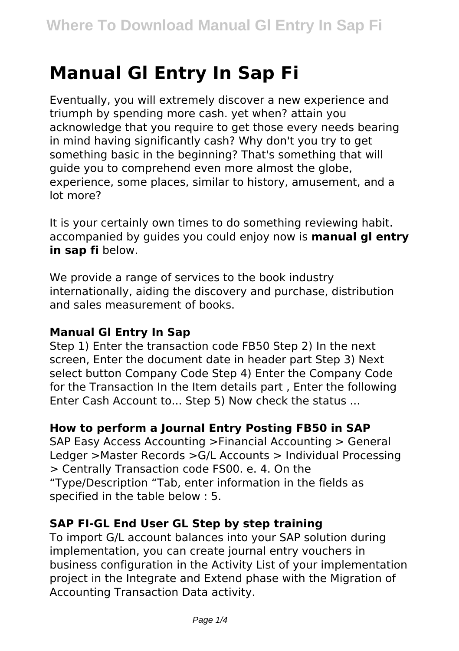# **Manual Gl Entry In Sap Fi**

Eventually, you will extremely discover a new experience and triumph by spending more cash. yet when? attain you acknowledge that you require to get those every needs bearing in mind having significantly cash? Why don't you try to get something basic in the beginning? That's something that will guide you to comprehend even more almost the globe, experience, some places, similar to history, amusement, and a lot more?

It is your certainly own times to do something reviewing habit. accompanied by guides you could enjoy now is **manual gl entry in sap fi** below.

We provide a range of services to the book industry internationally, aiding the discovery and purchase, distribution and sales measurement of books.

## **Manual Gl Entry In Sap**

Step 1) Enter the transaction code FB50 Step 2) In the next screen, Enter the document date in header part Step 3) Next select button Company Code Step 4) Enter the Company Code for the Transaction In the Item details part , Enter the following Enter Cash Account to... Step 5) Now check the status ...

## **How to perform a Journal Entry Posting FB50 in SAP**

SAP Easy Access Accounting >Financial Accounting > General Ledger >Master Records >G/L Accounts > Individual Processing > Centrally Transaction code FS00. e. 4. On the "Type/Description "Tab, enter information in the fields as specified in the table below : 5.

#### **SAP FI-GL End User GL Step by step training**

To import G/L account balances into your SAP solution during implementation, you can create journal entry vouchers in business configuration in the Activity List of your implementation project in the Integrate and Extend phase with the Migration of Accounting Transaction Data activity.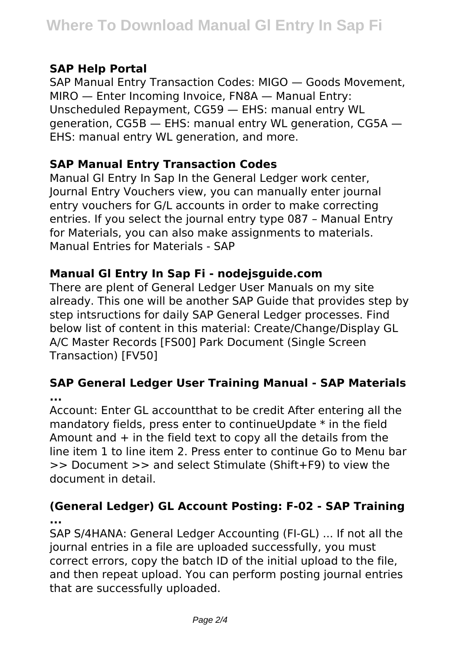## **SAP Help Portal**

SAP Manual Entry Transaction Codes: MIGO — Goods Movement, MIRO — Enter Incoming Invoice, FN8A — Manual Entry: Unscheduled Repayment, CG59 — EHS: manual entry WL generation, CG5B — EHS: manual entry WL generation, CG5A — EHS: manual entry WL generation, and more.

## **SAP Manual Entry Transaction Codes**

Manual Gl Entry In Sap In the General Ledger work center, Journal Entry Vouchers view, you can manually enter journal entry vouchers for G/L accounts in order to make correcting entries. If you select the journal entry type 087 – Manual Entry for Materials, you can also make assignments to materials. Manual Entries for Materials - SAP

# **Manual Gl Entry In Sap Fi - nodejsguide.com**

There are plent of General Ledger User Manuals on my site already. This one will be another SAP Guide that provides step by step intsructions for daily SAP General Ledger processes. Find below list of content in this material: Create/Change/Display GL A/C Master Records [FS00] Park Document (Single Screen Transaction) [FV50]

## **SAP General Ledger User Training Manual - SAP Materials ...**

Account: Enter GL accountthat to be credit After entering all the mandatory fields, press enter to continueUpdate \* in the field Amount and  $+$  in the field text to copy all the details from the line item 1 to line item 2. Press enter to continue Go to Menu bar >> Document >> and select Stimulate (Shift+F9) to view the document in detail.

## **(General Ledger) GL Account Posting: F-02 - SAP Training ...**

SAP S/4HANA: General Ledger Accounting (FI-GL) ... If not all the journal entries in a file are uploaded successfully, you must correct errors, copy the batch ID of the initial upload to the file, and then repeat upload. You can perform posting journal entries that are successfully uploaded.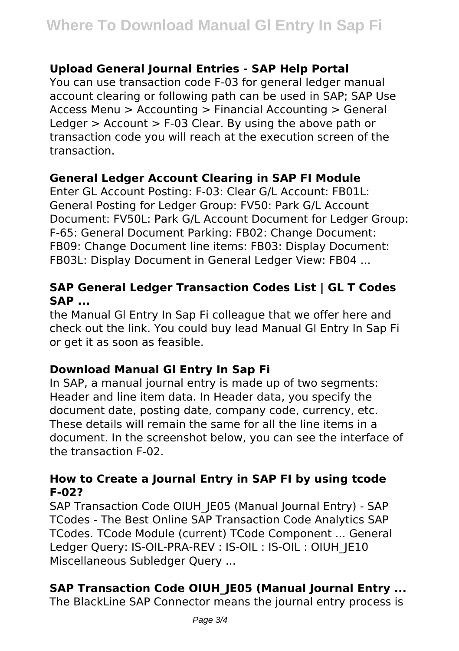#### **Upload General Journal Entries - SAP Help Portal**

You can use transaction code F-03 for general ledger manual account clearing or following path can be used in SAP; SAP Use Access Menu > Accounting > Financial Accounting > General Ledger > Account > F-03 Clear. By using the above path or transaction code you will reach at the execution screen of the transaction.

#### **General Ledger Account Clearing in SAP FI Module**

Enter GL Account Posting: F-03: Clear G/L Account: FB01L: General Posting for Ledger Group: FV50: Park G/L Account Document: FV50L: Park G/L Account Document for Ledger Group: F-65: General Document Parking: FB02: Change Document: FB09: Change Document line items: FB03: Display Document: FB03L: Display Document in General Ledger View: FB04 ...

## **SAP General Ledger Transaction Codes List | GL T Codes SAP ...**

the Manual Gl Entry In Sap Fi colleague that we offer here and check out the link. You could buy lead Manual Gl Entry In Sap Fi or get it as soon as feasible.

## **Download Manual Gl Entry In Sap Fi**

In SAP, a manual journal entry is made up of two segments: Header and line item data. In Header data, you specify the document date, posting date, company code, currency, etc. These details will remain the same for all the line items in a document. In the screenshot below, you can see the interface of the transaction F-02.

#### **How to Create a Journal Entry in SAP FI by using tcode F-02?**

SAP Transaction Code OIUH\_JE05 (Manual Journal Entry) - SAP TCodes - The Best Online SAP Transaction Code Analytics SAP TCodes. TCode Module (current) TCode Component ... General Ledger Query: IS-OIL-PRA-REV : IS-OIL : IS-OIL : OIUH\_JE10 Miscellaneous Subledger Query ...

# **SAP Transaction Code OIUH\_JE05 (Manual Journal Entry ...**

The BlackLine SAP Connector means the journal entry process is